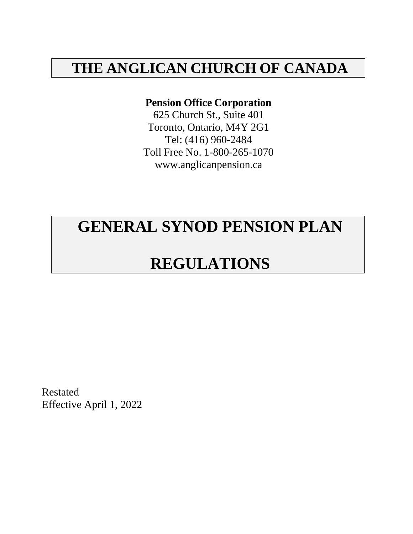# **THE ANGLICAN CHURCH OF CANADA**

### **Pension Office Corporation**

625 Church St., Suite 401 Toronto, Ontario, M4Y 2G1 Tel: (416) 960-2484 Toll Free No. 1-800-265-107[0](http://www.anglicanpension.ca/) [www.anglicanpension.ca](http://www.anglicanpension.ca/)

# **GENERAL SYNOD PENSION PLAN**

# **REGULATIONS**

Restated Effective April 1, 2022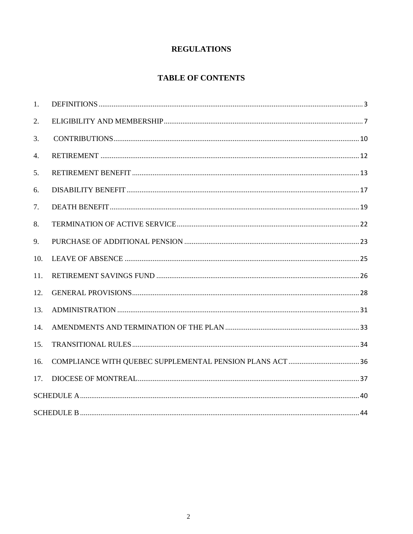### **REGULATIONS**

### **TABLE OF CONTENTS**

| 1.              |  |  |  |  |
|-----------------|--|--|--|--|
| 2.              |  |  |  |  |
| 3.              |  |  |  |  |
| 4.              |  |  |  |  |
| 5.              |  |  |  |  |
| 6.              |  |  |  |  |
| 7.              |  |  |  |  |
| 8.              |  |  |  |  |
| 9.              |  |  |  |  |
| 10.             |  |  |  |  |
| 11.             |  |  |  |  |
| 12.             |  |  |  |  |
| 13.             |  |  |  |  |
| 14.             |  |  |  |  |
| 15.             |  |  |  |  |
| 16.             |  |  |  |  |
| 17 <sub>1</sub> |  |  |  |  |
|                 |  |  |  |  |
|                 |  |  |  |  |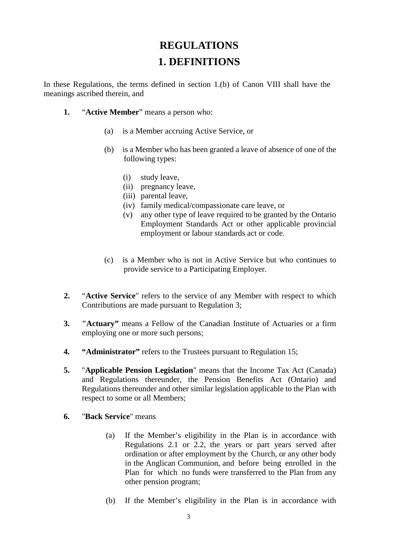# **REGULATIONS 1. DEFINITIONS**

<span id="page-2-0"></span>In these Regulations, the terms defined in section 1.(b) of Canon VIII shall have the meanings ascribed therein, and

- **1.** "**Active Member**" means a person who:
	- (a) is a Member accruing Active Service, or
	- (b) is a Member who has been granted a leave of absence of one of the following types:
		- (i) study leave,
		- (ii) pregnancy leave,
		- (iii) parental leave,
		- (iv) family medical/compassionate care leave, or
		- (v) any other type of leave required to be granted by the Ontario Employment Standards Act or other applicable provincial employment or labour standards act or code.
	- (c) is a Member who is not in Active Service but who continues to provide service to a Participating Employer.
- **2.** "**Active Service**" refers to the service of any Member with respect to which Contributions are made pursuant to Regulation 3;
- **3. "Actuary"** means a Fellow of the Canadian Institute of Actuaries or a firm employing one or more such persons;
- **4. "Administrator"** refers to the Trustees pursuant to Regulation 15;
- **5.** "**Applicable Pension Legislation**" means that the Income Tax Act (Canada) and Regulations thereunder, the Pension Benefits Act (Ontario) and Regulations thereunder and other similar legislation applicable to the Plan with respect to some or all Members;
- **6.** "**Back Service**" means
	- (a) If the Member's eligibility in the Plan is in accordance with Regulations 2.1 or 2.2, the years or part years served after ordination or after employment by the Church, or any other body in the Anglican Communion, and before being enrolled in the Plan for which no funds were transferred to the Plan from any other pension program;
	- (b) If the Member's eligibility in the Plan is in accordance with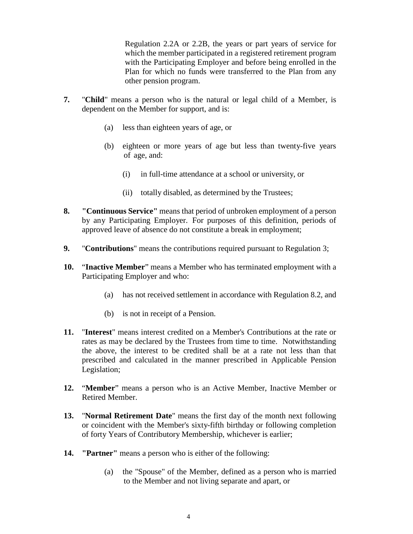Regulation 2.2A or 2.2B, the years or part years of service for which the member participated in a registered retirement program with the Participating Employer and before being enrolled in the Plan for which no funds were transferred to the Plan from any other pension program.

- **7.** "**Child**" means a person who is the natural or legal child of a Member, is dependent on the Member for support, and is:
	- (a) less than eighteen years of age, or
	- (b) eighteen or more years of age but less than twenty-five years of age, and:
		- (i) in full-time attendance at a school or university, or
		- (ii) totally disabled, as determined by the Trustees;
- **8. "Continuous Service"** means that period of unbroken employment of a person by any Participating Employer. For purposes of this definition, periods of approved leave of absence do not constitute a break in employment;
- **9.** "**Contributions**" means the contributions required pursuant to Regulation 3;
- **10.** "**Inactive Member**" means a Member who has terminated employment with a Participating Employer and who:
	- (a) has not received settlement in accordance with Regulation 8.2, and
	- (b) is not in receipt of a Pension.
- **11.** "**Interest**" means interest credited on a Member's Contributions at the rate or rates as may be declared by the Trustees from time to time. Notwithstanding the above, the interest to be credited shall be at a rate not less than that prescribed and calculated in the manner prescribed in Applicable Pension Legislation;
- **12.** "**Member**" means a person who is an Active Member, Inactive Member or Retired Member.
- **13.** "**Normal Retirement Date**" means the first day of the month next following or coincident with the Member's sixty-fifth birthday or following completion of forty Years of Contributory Membership, whichever is earlier;
- **14. "Partner"** means a person who is either of the following:
	- (a) the "Spouse" of the Member, defined as a person who is married to the Member and not living separate and apart, or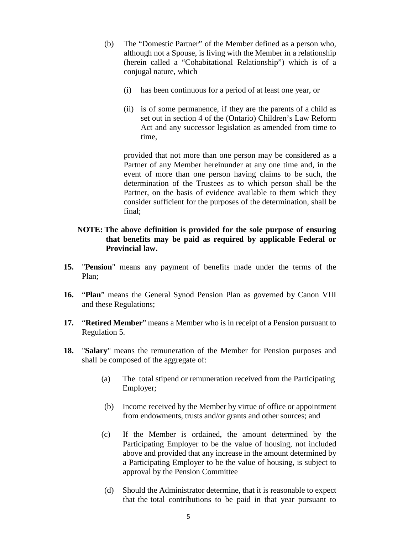- (b) The "Domestic Partner" of the Member defined as a person who, although not a Spouse, is living with the Member in a relationship (herein called a "Cohabitational Relationship") which is of a conjugal nature, which
	- (i) has been continuous for a period of at least one year, or
	- (ii) is of some permanence, if they are the parents of a child as set out in section 4 of the (Ontario) Children's Law Reform Act and any successor legislation as amended from time to time,

provided that not more than one person may be considered as a Partner of any Member hereinunder at any one time and, in the event of more than one person having claims to be such, the determination of the Trustees as to which person shall be the Partner, on the basis of evidence available to them which they consider sufficient for the purposes of the determination, shall be final;

#### **NOTE: The above definition is provided for the sole purpose of ensuring that benefits may be paid as required by applicable Federal or Provincial law.**

- **15.** "**Pension**" means any payment of benefits made under the terms of the Plan;
- **16.** "**Plan**" means the General Synod Pension Plan as governed by Canon VIII and these Regulations;
- **17.** "**Retired Member**" means a Member who is in receipt of a Pension pursuant to Regulation 5.
- **18.** "**Salary**" means the remuneration of the Member for Pension purposes and shall be composed of the aggregate of:
	- (a) The total stipend or remuneration received from the Participating Employer;
	- (b) Income received by the Member by virtue of office or appointment from endowments, trusts and/or grants and other sources; and
	- (c) If the Member is ordained, the amount determined by the Participating Employer to be the value of housing, not included above and provided that any increase in the amount determined by a Participating Employer to be the value of housing, is subject to approval by the Pension Committee
	- (d) Should the Administrator determine, that it is reasonable to expect that the total contributions to be paid in that year pursuant to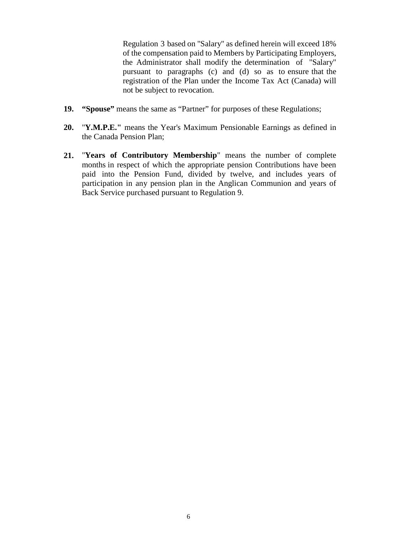Regulation 3 based on "Salary" as defined herein will exceed 18% of the compensation paid to Members by Participating Employers, the Administrator shall modify the determination of "Salary" pursuant to paragraphs (c) and (d) so as to ensure that the registration of the Plan under the Income Tax Act (Canada) will not be subject to revocation.

- **19. "Spouse"** means the same as "Partner" for purposes of these Regulations;
- **20.** "**Y.M.P.E."** means the Year's Maximum Pensionable Earnings as defined in the Canada Pension Plan;
- **21.** "**Years of Contributory Membership**" means the number of complete months in respect of which the appropriate pension Contributions have been paid into the Pension Fund, divided by twelve, and includes years of participation in any pension plan in the Anglican Communion and years of Back Service purchased pursuant to Regulation 9.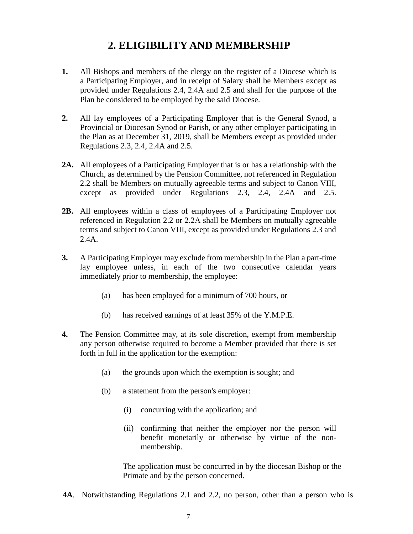# **2. ELIGIBILITY AND MEMBERSHIP**

- <span id="page-6-0"></span>**1.** All Bishops and members of the clergy on the register of a Diocese which is a Participating Employer, and in receipt of Salary shall be Members except as provided under Regulations 2.4, 2.4A and 2.5 and shall for the purpose of the Plan be considered to be employed by the said Diocese.
- **2.** All lay employees of a Participating Employer that is the General Synod, a Provincial or Diocesan Synod or Parish, or any other employer participating in the Plan as at December 31, 2019, shall be Members except as provided under Regulations 2.3, 2.4, 2.4A and 2.5.
- **2A.** All employees of a Participating Employer that is or has a relationship with the Church, as determined by the Pension Committee, not referenced in Regulation 2.2 shall be Members on mutually agreeable terms and subject to Canon VIII, except as provided under Regulations 2.3, 2.4, 2.4A and 2.5.
- **2B.** All employees within a class of employees of a Participating Employer not referenced in Regulation 2.2 or 2.2A shall be Members on mutually agreeable terms and subject to Canon VIII, except as provided under Regulations 2.3 and 2.4A.
- **3.** A Participating Employer may exclude from membership in the Plan a part-time lay employee unless, in each of the two consecutive calendar years immediately prior to membership, the employee:
	- (a) has been employed for a minimum of 700 hours, or
	- (b) has received earnings of at least 35% of the Y.M.P.E.
- **4.** The Pension Committee may, at its sole discretion, exempt from membership any person otherwise required to become a Member provided that there is set forth in full in the application for the exemption:
	- (a) the grounds upon which the exemption is sought; and
	- (b) a statement from the person's employer:
		- (i) concurring with the application; and
		- (ii) confirming that neither the employer nor the person will benefit monetarily or otherwise by virtue of the nonmembership.

The application must be concurred in by the diocesan Bishop or the Primate and by the person concerned.

**4A**. Notwithstanding Regulations 2.1 and 2.2, no person, other than a person who is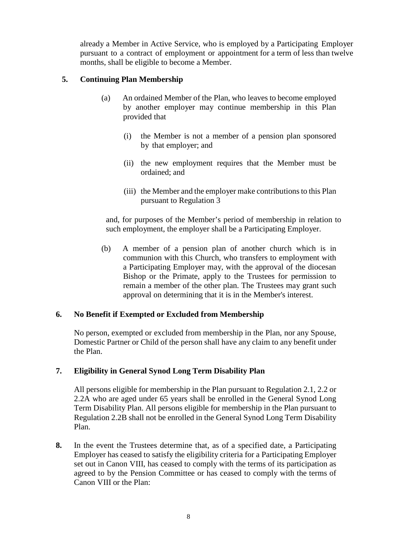already a Member in Active Service, who is employed by a Participating Employer pursuant to a contract of employment or appointment for a term of less than twelve months, shall be eligible to become a Member.

### **5. Continuing Plan Membership**

- (a) An ordained Member of the Plan, who leaves to become employed by another employer may continue membership in this Plan provided that
	- (i) the Member is not a member of a pension plan sponsored by that employer; and
	- (ii) the new employment requires that the Member must be ordained; and
	- (iii) the Member and the employer make contributions to this Plan pursuant to Regulation 3

and, for purposes of the Member's period of membership in relation to such employment, the employer shall be a Participating Employer.

(b) A member of a pension plan of another church which is in communion with this Church, who transfers to employment with a Participating Employer may, with the approval of the diocesan Bishop or the Primate, apply to the Trustees for permission to remain a member of the other plan. The Trustees may grant such approval on determining that it is in the Member's interest.

### **6. No Benefit if Exempted or Excluded from Membership**

No person, exempted or excluded from membership in the Plan, nor any Spouse, Domestic Partner or Child of the person shall have any claim to any benefit under the Plan.

### **7. Eligibility in General Synod Long Term Disability Plan**

All persons eligible for membership in the Plan pursuant to Regulation 2.1, 2.2 or 2.2A who are aged under 65 years shall be enrolled in the General Synod Long Term Disability Plan. All persons eligible for membership in the Plan pursuant to Regulation 2.2B shall not be enrolled in the General Synod Long Term Disability Plan.

**8.** In the event the Trustees determine that, as of a specified date, a Participating Employer has ceased to satisfy the eligibility criteria for a Participating Employer set out in Canon VIII, has ceased to comply with the terms of its participation as agreed to by the Pension Committee or has ceased to comply with the terms of Canon VIII or the Plan: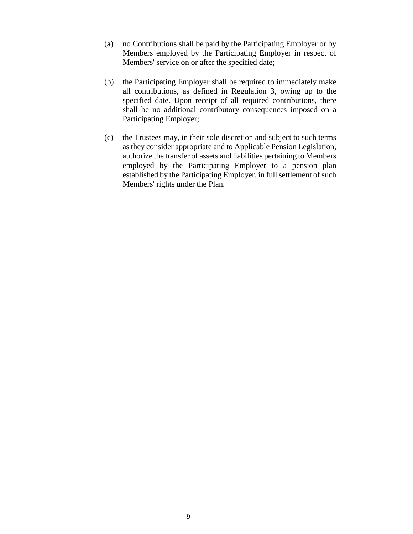- (a) no Contributions shall be paid by the Participating Employer or by Members employed by the Participating Employer in respect of Members' service on or after the specified date;
- (b) the Participating Employer shall be required to immediately make all contributions, as defined in Regulation 3, owing up to the specified date. Upon receipt of all required contributions, there shall be no additional contributory consequences imposed on a Participating Employer;
- (c) the Trustees may, in their sole discretion and subject to such terms as they consider appropriate and to Applicable Pension Legislation, authorize the transfer of assets and liabilities pertaining to Members employed by the Participating Employer to a pension plan established by the Participating Employer, in full settlement of such Members' rights under the Plan.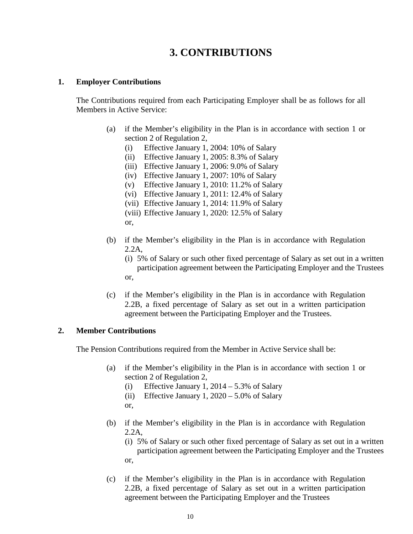# **3. CONTRIBUTIONS**

#### <span id="page-9-0"></span>**1. Employer Contributions**

The Contributions required from each Participating Employer shall be as follows for all Members in Active Service:

- (a) if the Member's eligibility in the Plan is in accordance with section 1 or section 2 of Regulation 2,
	- (i) Effective January 1, 2004: 10% of Salary
	- (ii) Effective January 1, 2005: 8.3% of Salary
	- (iii) Effective January 1, 2006: 9.0% of Salary
	- (iv) Effective January 1, 2007: 10% of Salary
	- (v) Effective January 1, 2010: 11.2% of Salary
	- (vi) Effective January 1, 2011: 12.4% of Salary
	- (vii) Effective January 1, 2014: 11.9% of Salary
	- (viii) Effective January 1, 2020: 12.5% of Salary

or,

- (b) if the Member's eligibility in the Plan is in accordance with Regulation 2.2A,
	- (i) 5% of Salary or such other fixed percentage of Salary as set out in a written participation agreement between the Participating Employer and the Trustees or,
- (c) if the Member's eligibility in the Plan is in accordance with Regulation 2.2B, a fixed percentage of Salary as set out in a written participation agreement between the Participating Employer and the Trustees.

#### **2. Member Contributions**

The Pension Contributions required from the Member in Active Service shall be:

- (a) if the Member's eligibility in the Plan is in accordance with section 1 or section 2 of Regulation 2,
	- (i) Effective January 1,  $2014 5.3\%$  of Salary
	- (ii) Effective January 1,  $2020 5.0\%$  of Salary
	- or,
- (b) if the Member's eligibility in the Plan is in accordance with Regulation 2.2A,
	- (i) 5% of Salary or such other fixed percentage of Salary as set out in a written participation agreement between the Participating Employer and the Trustees or,
- (c) if the Member's eligibility in the Plan is in accordance with Regulation 2.2B, a fixed percentage of Salary as set out in a written participation agreement between the Participating Employer and the Trustees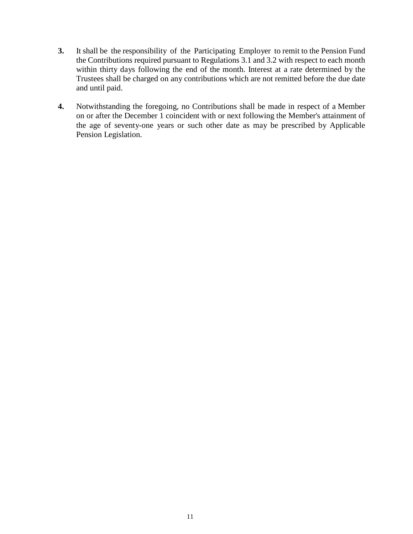- **3.** It shall be the responsibility of the Participating Employer to remit to the Pension Fund the Contributions required pursuant to Regulations 3.1 and 3.2 with respect to each month within thirty days following the end of the month. Interest at a rate determined by the Trustees shall be charged on any contributions which are not remitted before the due date and until paid.
- **4.** Notwithstanding the foregoing, no Contributions shall be made in respect of a Member on or after the December 1 coincident with or next following the Member's attainment of the age of seventy-one years or such other date as may be prescribed by Applicable Pension Legislation.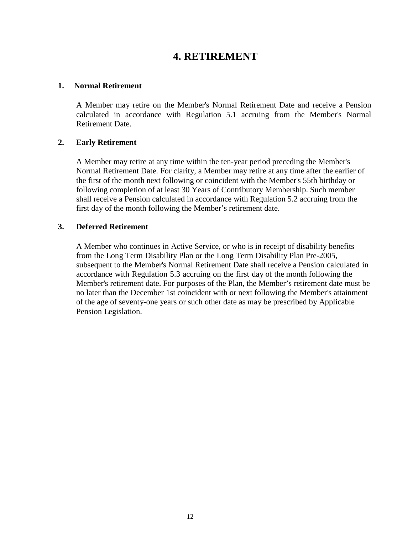## **4. RETIREMENT**

#### <span id="page-11-0"></span>**1. Normal Retirement**

A Member may retire on the Member's Normal Retirement Date and receive a Pension calculated in accordance with Regulation 5.1 accruing from the Member's Normal Retirement Date.

#### **2. Early Retirement**

A Member may retire at any time within the ten-year period preceding the Member's Normal Retirement Date. For clarity, a Member may retire at any time after the earlier of the first of the month next following or coincident with the Member's 55th birthday or following completion of at least 30 Years of Contributory Membership. Such member shall receive a Pension calculated in accordance with Regulation 5.2 accruing from the first day of the month following the Member's retirement date.

#### **3. Deferred Retirement**

A Member who continues in Active Service, or who is in receipt of disability benefits from the Long Term Disability Plan or the Long Term Disability Plan Pre-2005, subsequent to the Member's Normal Retirement Date shall receive a Pension calculated in accordance with Regulation 5.3 accruing on the first day of the month following the Member's retirement date. For purposes of the Plan, the Member's retirement date must be no later than the December 1st coincident with or next following the Member's attainment of the age of seventy-one years or such other date as may be prescribed by Applicable Pension Legislation.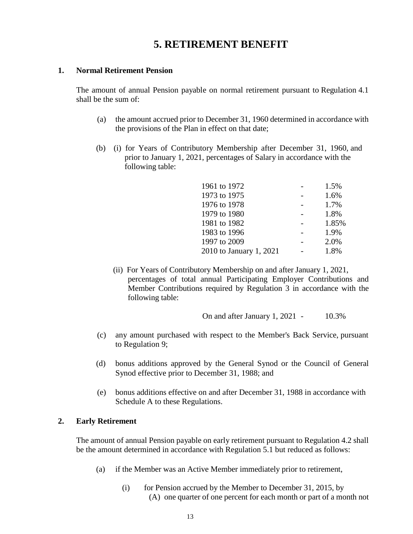## **5. RETIREMENT BENEFIT**

#### <span id="page-12-0"></span>**1. Normal Retirement Pension**

The amount of annual Pension payable on normal retirement pursuant to Regulation 4.1 shall be the sum of:

- (a) the amount accrued prior to December 31, 1960 determined in accordance with the provisions of the Plan in effect on that date;
- (b) (i) for Years of Contributory Membership after December 31, 1960, and prior to January 1, 2021, percentages of Salary in accordance with the following table:

| 1961 to 1972            | 1.5%  |
|-------------------------|-------|
| 1973 to 1975            | 1.6%  |
| 1976 to 1978            | 1.7%  |
| 1979 to 1980            | 1.8%  |
| 1981 to 1982            | 1.85% |
| 1983 to 1996            | 1.9%  |
| 1997 to 2009            | 2.0%  |
| 2010 to January 1, 2021 | 1.8%  |

 (ii) For Years of Contributory Membership on and after January 1, 2021, percentages of total annual Participating Employer Contributions and Member Contributions required by Regulation 3 in accordance with the following table:

On and after January 1, 2021 - 10.3%

- (c) any amount purchased with respect to the Member's Back Service, pursuant to Regulation 9;
- (d) bonus additions approved by the General Synod or the Council of General Synod effective prior to December 31, 1988; and
- (e) bonus additions effective on and after December 31, 1988 in accordance with Schedule A to these Regulations.

#### **2. Early Retirement**

The amount of annual Pension payable on early retirement pursuant to Regulation 4.2 shall be the amount determined in accordance with Regulation 5.1 but reduced as follows:

- (a) if the Member was an Active Member immediately prior to retirement,
	- (i) for Pension accrued by the Member to December 31, 2015, by (A) one quarter of one percent for each month or part of a month not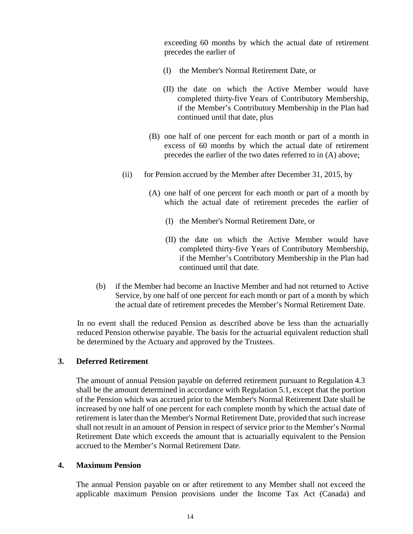exceeding 60 months by which the actual date of retirement precedes the earlier of

- (I) the Member's Normal Retirement Date, or
- (II) the date on which the Active Member would have completed thirty-five Years of Contributory Membership, if the Member's Contributory Membership in the Plan had continued until that date, plus
- (B) one half of one percent for each month or part of a month in excess of 60 months by which the actual date of retirement precedes the earlier of the two dates referred to in (A) above;
- (ii) for Pension accrued by the Member after December 31, 2015, by
	- (A) one half of one percent for each month or part of a month by which the actual date of retirement precedes the earlier of
		- (I) the Member's Normal Retirement Date, or
		- (II) the date on which the Active Member would have completed thirty-five Years of Contributory Membership, if the Member's Contributory Membership in the Plan had continued until that date.
- (b) if the Member had become an Inactive Member and had not returned to Active Service, by one half of one percent for each month or part of a month by which the actual date of retirement precedes the Member's Normal Retirement Date.

In no event shall the reduced Pension as described above be less than the actuarially reduced Pension otherwise payable. The basis for the actuarial equivalent reduction shall be determined by the Actuary and approved by the Trustees.

#### **3. Deferred Retirement**

The amount of annual Pension payable on deferred retirement pursuant to Regulation 4.3 shall be the amount determined in accordance with Regulation 5.1, except that the portion of the Pension which was accrued prior to the Member's Normal Retirement Date shall be increased by one half of one percent for each complete month by which the actual date of retirement is later than the Member's Normal Retirement Date, provided that such increase shall not result in an amount of Pension in respect of service prior to the Member's Normal Retirement Date which exceeds the amount that is actuarially equivalent to the Pension accrued to the Member's Normal Retirement Date.

#### **4. Maximum Pension**

The annual Pension payable on or after retirement to any Member shall not exceed the applicable maximum Pension provisions under the Income Tax Act (Canada) and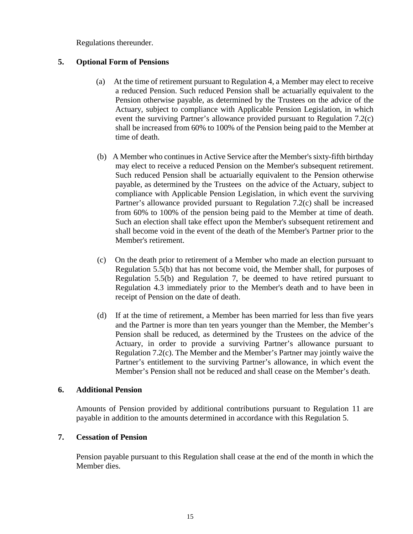Regulations thereunder.

#### **5. Optional Form of Pensions**

- (a) At the time of retirement pursuant to Regulation 4, a Member may elect to receive a reduced Pension. Such reduced Pension shall be actuarially equivalent to the Pension otherwise payable, as determined by the Trustees on the advice of the Actuary, subject to compliance with Applicable Pension Legislation, in which event the surviving Partner's allowance provided pursuant to Regulation 7.2(c) shall be increased from 60% to 100% of the Pension being paid to the Member at time of death.
- (b) A Member who continues in Active Service after the Member's sixty-fifth birthday may elect to receive a reduced Pension on the Member's subsequent retirement. Such reduced Pension shall be actuarially equivalent to the Pension otherwise payable, as determined by the Trustees on the advice of the Actuary, subject to compliance with Applicable Pension Legislation, in which event the surviving Partner's allowance provided pursuant to Regulation 7.2(c) shall be increased from 60% to 100% of the pension being paid to the Member at time of death. Such an election shall take effect upon the Member's subsequent retirement and shall become void in the event of the death of the Member's Partner prior to the Member's retirement.
- (c) On the death prior to retirement of a Member who made an election pursuant to Regulation 5.5(b) that has not become void, the Member shall, for purposes of Regulation 5.5(b) and Regulation 7, be deemed to have retired pursuant to Regulation 4.3 immediately prior to the Member's death and to have been in receipt of Pension on the date of death.
- (d) If at the time of retirement, a Member has been married for less than five years and the Partner is more than ten years younger than the Member, the Member's Pension shall be reduced, as determined by the Trustees on the advice of the Actuary, in order to provide a surviving Partner's allowance pursuant to Regulation 7.2(c). The Member and the Member's Partner may jointly waive the Partner's entitlement to the surviving Partner's allowance, in which event the Member's Pension shall not be reduced and shall cease on the Member's death.

#### **6. Additional Pension**

Amounts of Pension provided by additional contributions pursuant to Regulation 11 are payable in addition to the amounts determined in accordance with this Regulation 5.

#### **7. Cessation of Pension**

Pension payable pursuant to this Regulation shall cease at the end of the month in which the Member dies.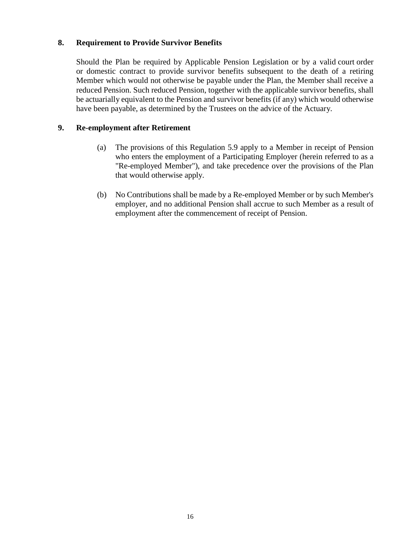#### **8. Requirement to Provide Survivor Benefits**

Should the Plan be required by Applicable Pension Legislation or by a valid court order or domestic contract to provide survivor benefits subsequent to the death of a retiring Member which would not otherwise be payable under the Plan, the Member shall receive a reduced Pension. Such reduced Pension, together with the applicable survivor benefits, shall be actuarially equivalent to the Pension and survivor benefits (if any) which would otherwise have been payable, as determined by the Trustees on the advice of the Actuary.

#### **9. Re-employment after Retirement**

- (a) The provisions of this Regulation 5.9 apply to a Member in receipt of Pension who enters the employment of a Participating Employer (herein referred to as a "Re-employed Member"), and take precedence over the provisions of the Plan that would otherwise apply.
- (b) No Contributions shall be made by a Re-employed Member or by such Member's employer, and no additional Pension shall accrue to such Member as a result of employment after the commencement of receipt of Pension.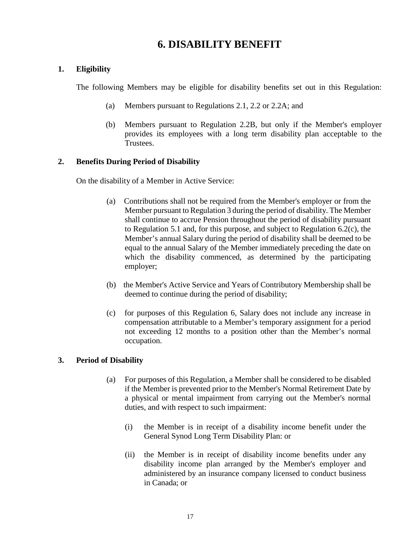## **6. DISABILITY BENEFIT**

### <span id="page-16-0"></span>**1. Eligibility**

The following Members may be eligible for disability benefits set out in this Regulation:

- (a) Members pursuant to Regulations 2.1, 2.2 or 2.2A; and
- (b) Members pursuant to Regulation 2.2B, but only if the Member's employer provides its employees with a long term disability plan acceptable to the Trustees.

### **2. Benefits During Period of Disability**

On the disability of a Member in Active Service:

- (a) Contributions shall not be required from the Member's employer or from the Member pursuant to Regulation 3 during the period of disability. The Member shall continue to accrue Pension throughout the period of disability pursuant to Regulation 5.1 and, for this purpose, and subject to Regulation 6.2(c), the Member's annual Salary during the period of disability shall be deemed to be equal to the annual Salary of the Member immediately preceding the date on which the disability commenced, as determined by the participating employer;
- (b) the Member's Active Service and Years of Contributory Membership shall be deemed to continue during the period of disability;
- (c) for purposes of this Regulation 6, Salary does not include any increase in compensation attributable to a Member's temporary assignment for a period not exceeding 12 months to a position other than the Member's normal occupation.

### **3. Period of Disability**

- (a) For purposes of this Regulation, a Member shall be considered to be disabled if the Member is prevented prior to the Member's Normal Retirement Date by a physical or mental impairment from carrying out the Member's normal duties, and with respect to such impairment:
	- (i) the Member is in receipt of a disability income benefit under the General Synod Long Term Disability Plan: or
	- (ii) the Member is in receipt of disability income benefits under any disability income plan arranged by the Member's employer and administered by an insurance company licensed to conduct business in Canada; or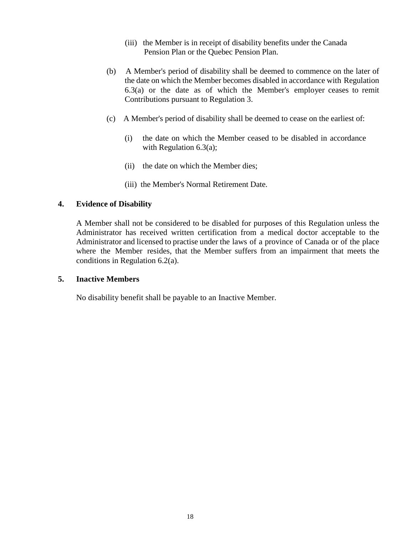- (iii) the Member is in receipt of disability benefits under the Canada Pension Plan or the Quebec Pension Plan.
- (b) A Member's period of disability shall be deemed to commence on the later of the date on which the Member becomes disabled in accordance with Regulation 6.3(a) or the date as of which the Member's employer ceases to remit Contributions pursuant to Regulation 3.
- (c) A Member's period of disability shall be deemed to cease on the earliest of:
	- (i) the date on which the Member ceased to be disabled in accordance with Regulation 6.3(a);
	- (ii) the date on which the Member dies;
	- (iii) the Member's Normal Retirement Date.

#### **4. Evidence of Disability**

A Member shall not be considered to be disabled for purposes of this Regulation unless the Administrator has received written certification from a medical doctor acceptable to the Administrator and licensed to practise under the laws of a province of Canada or of the place where the Member resides, that the Member suffers from an impairment that meets the conditions in Regulation 6.2(a).

#### **5. Inactive Members**

No disability benefit shall be payable to an Inactive Member.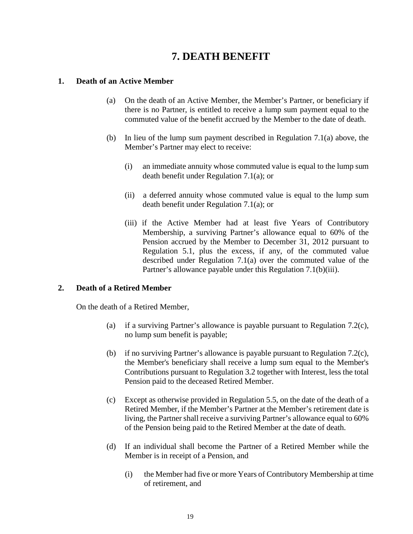# **7. DEATH BENEFIT**

#### <span id="page-18-0"></span>**1. Death of an Active Member**

- (a) On the death of an Active Member, the Member's Partner, or beneficiary if there is no Partner, is entitled to receive a lump sum payment equal to the commuted value of the benefit accrued by the Member to the date of death.
- (b) In lieu of the lump sum payment described in Regulation 7.1(a) above, the Member's Partner may elect to receive:
	- (i) an immediate annuity whose commuted value is equal to the lump sum death benefit under Regulation 7.1(a); or
	- (ii) a deferred annuity whose commuted value is equal to the lump sum death benefit under Regulation 7.1(a); or
	- (iii) if the Active Member had at least five Years of Contributory Membership, a surviving Partner's allowance equal to 60% of the Pension accrued by the Member to December 31, 2012 pursuant to Regulation 5.1, plus the excess, if any, of the commuted value described under Regulation 7.1(a) over the commuted value of the Partner's allowance payable under this Regulation 7.1(b)(iii).

#### **2. Death of a Retired Member**

On the death of a Retired Member,

- (a) if a surviving Partner's allowance is payable pursuant to Regulation 7.2(c), no lump sum benefit is payable;
- (b) if no surviving Partner's allowance is payable pursuant to Regulation 7.2(c), the Member's beneficiary shall receive a lump sum equal to the Member's Contributions pursuant to Regulation 3.2 together with Interest, less the total Pension paid to the deceased Retired Member.
- (c) Except as otherwise provided in Regulation 5.5, on the date of the death of a Retired Member, if the Member's Partner at the Member's retirement date is living, the Partner shall receive a surviving Partner's allowance equal to 60% of the Pension being paid to the Retired Member at the date of death.
- (d) If an individual shall become the Partner of a Retired Member while the Member is in receipt of a Pension, and
	- (i) the Member had five or more Years of Contributory Membership at time of retirement, and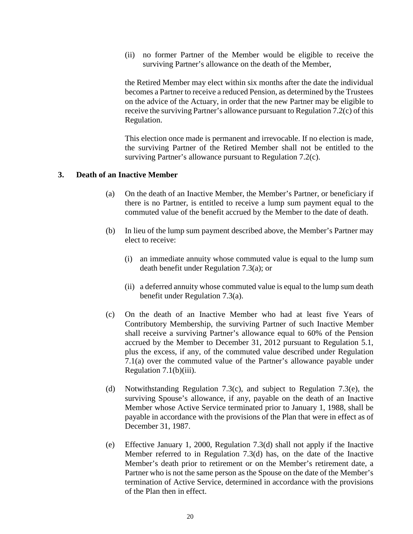(ii) no former Partner of the Member would be eligible to receive the surviving Partner's allowance on the death of the Member,

the Retired Member may elect within six months after the date the individual becomes a Partner to receive a reduced Pension, as determined by the Trustees on the advice of the Actuary, in order that the new Partner may be eligible to receive the surviving Partner's allowance pursuant to Regulation 7.2(c) of this Regulation.

This election once made is permanent and irrevocable. If no election is made, the surviving Partner of the Retired Member shall not be entitled to the surviving Partner's allowance pursuant to Regulation 7.2(c).

#### **3. Death of an Inactive Member**

- (a) On the death of an Inactive Member, the Member's Partner, or beneficiary if there is no Partner, is entitled to receive a lump sum payment equal to the commuted value of the benefit accrued by the Member to the date of death.
- (b) In lieu of the lump sum payment described above, the Member's Partner may elect to receive:
	- (i) an immediate annuity whose commuted value is equal to the lump sum death benefit under Regulation 7.3(a); or
	- (ii) a deferred annuity whose commuted value is equal to the lump sum death benefit under Regulation 7.3(a).
- (c) On the death of an Inactive Member who had at least five Years of Contributory Membership, the surviving Partner of such Inactive Member shall receive a surviving Partner's allowance equal to 60% of the Pension accrued by the Member to December 31, 2012 pursuant to Regulation 5.1, plus the excess, if any, of the commuted value described under Regulation 7.1(a) over the commuted value of the Partner's allowance payable under Regulation 7.1(b)(iii).
- (d) Notwithstanding Regulation 7.3(c), and subject to Regulation 7.3(e), the surviving Spouse's allowance, if any, payable on the death of an Inactive Member whose Active Service terminated prior to January 1, 1988, shall be payable in accordance with the provisions of the Plan that were in effect as of December 31, 1987.
- (e) Effective January 1, 2000, Regulation 7.3(d) shall not apply if the Inactive Member referred to in Regulation 7.3(d) has, on the date of the Inactive Member's death prior to retirement or on the Member's retirement date, a Partner who is not the same person as the Spouse on the date of the Member's termination of Active Service, determined in accordance with the provisions of the Plan then in effect.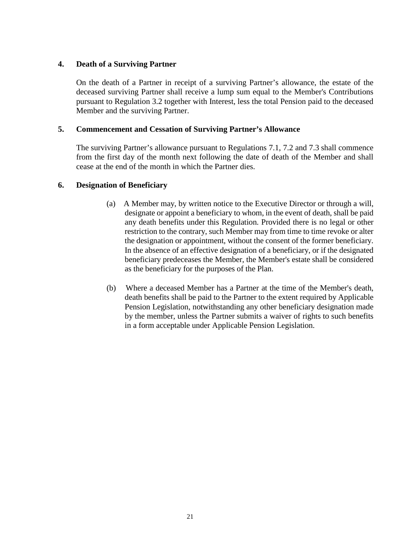#### **4. Death of a Surviving Partner**

On the death of a Partner in receipt of a surviving Partner's allowance, the estate of the deceased surviving Partner shall receive a lump sum equal to the Member's Contributions pursuant to Regulation 3.2 together with Interest, less the total Pension paid to the deceased Member and the surviving Partner.

#### **5. Commencement and Cessation of Surviving Partner's Allowance**

The surviving Partner's allowance pursuant to Regulations 7.1, 7.2 and 7.3 shall commence from the first day of the month next following the date of death of the Member and shall cease at the end of the month in which the Partner dies.

#### **6. Designation of Beneficiary**

- (a) A Member may, by written notice to the Executive Director or through a will, designate or appoint a beneficiary to whom, in the event of death, shall be paid any death benefits under this Regulation. Provided there is no legal or other restriction to the contrary, such Member may from time to time revoke or alter the designation or appointment, without the consent of the former beneficiary. In the absence of an effective designation of a beneficiary, or if the designated beneficiary predeceases the Member, the Member's estate shall be considered as the beneficiary for the purposes of the Plan.
- (b) Where a deceased Member has a Partner at the time of the Member's death, death benefits shall be paid to the Partner to the extent required by Applicable Pension Legislation, notwithstanding any other beneficiary designation made by the member, unless the Partner submits a waiver of rights to such benefits in a form acceptable under Applicable Pension Legislation.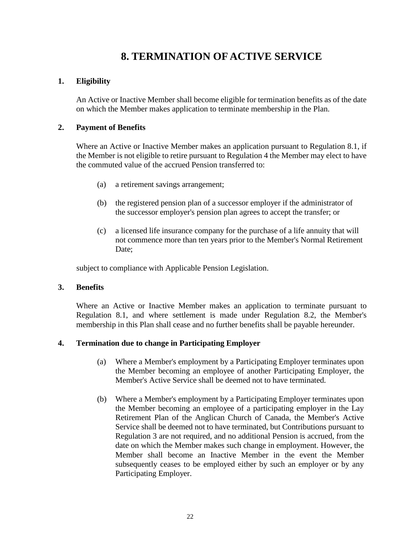# **8. TERMINATION OF ACTIVE SERVICE**

#### <span id="page-21-0"></span>**1. Eligibility**

An Active or Inactive Member shall become eligible for termination benefits as of the date on which the Member makes application to terminate membership in the Plan.

#### **2. Payment of Benefits**

Where an Active or Inactive Member makes an application pursuant to Regulation 8.1, if the Member is not eligible to retire pursuant to Regulation 4 the Member may elect to have the commuted value of the accrued Pension transferred to:

- (a) a retirement savings arrangement;
- (b) the registered pension plan of a successor employer if the administrator of the successor employer's pension plan agrees to accept the transfer; or
- (c) a licensed life insurance company for the purchase of a life annuity that will not commence more than ten years prior to the Member's Normal Retirement Date:

subject to compliance with Applicable Pension Legislation.

#### **3. Benefits**

Where an Active or Inactive Member makes an application to terminate pursuant to Regulation 8.1, and where settlement is made under Regulation 8.2, the Member's membership in this Plan shall cease and no further benefits shall be payable hereunder.

#### **4. Termination due to change in Participating Employer**

- (a) Where a Member's employment by a Participating Employer terminates upon the Member becoming an employee of another Participating Employer, the Member's Active Service shall be deemed not to have terminated.
- (b) Where a Member's employment by a Participating Employer terminates upon the Member becoming an employee of a participating employer in the Lay Retirement Plan of the Anglican Church of Canada, the Member's Active Service shall be deemed not to have terminated, but Contributions pursuant to Regulation 3 are not required, and no additional Pension is accrued, from the date on which the Member makes such change in employment. However, the Member shall become an Inactive Member in the event the Member subsequently ceases to be employed either by such an employer or by any Participating Employer.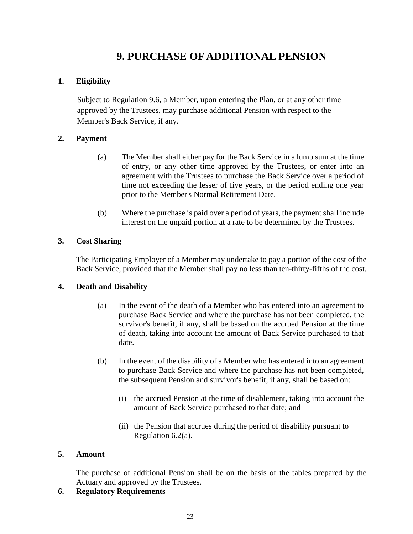# **9. PURCHASE OF ADDITIONAL PENSION**

### <span id="page-22-0"></span>**1. Eligibility**

Subject to Regulation 9.6, a Member, upon entering the Plan, or at any other time approved by the Trustees, may purchase additional Pension with respect to the Member's Back Service, if any.

#### **2. Payment**

- (a) The Member shall either pay for the Back Service in a lump sum at the time of entry, or any other time approved by the Trustees, or enter into an agreement with the Trustees to purchase the Back Service over a period of time not exceeding the lesser of five years, or the period ending one year prior to the Member's Normal Retirement Date.
- (b) Where the purchase is paid over a period of years, the payment shall include interest on the unpaid portion at a rate to be determined by the Trustees.

#### **3. Cost Sharing**

The Participating Employer of a Member may undertake to pay a portion of the cost of the Back Service, provided that the Member shall pay no less than ten-thirty-fifths of the cost.

#### **4. Death and Disability**

- (a) In the event of the death of a Member who has entered into an agreement to purchase Back Service and where the purchase has not been completed, the survivor's benefit, if any, shall be based on the accrued Pension at the time of death, taking into account the amount of Back Service purchased to that date.
- (b) In the event of the disability of a Member who has entered into an agreement to purchase Back Service and where the purchase has not been completed, the subsequent Pension and survivor's benefit, if any, shall be based on:
	- (i) the accrued Pension at the time of disablement, taking into account the amount of Back Service purchased to that date; and
	- (ii) the Pension that accrues during the period of disability pursuant to Regulation 6.2(a).

#### **5. Amount**

The purchase of additional Pension shall be on the basis of the tables prepared by the Actuary and approved by the Trustees.

### **6. Regulatory Requirements**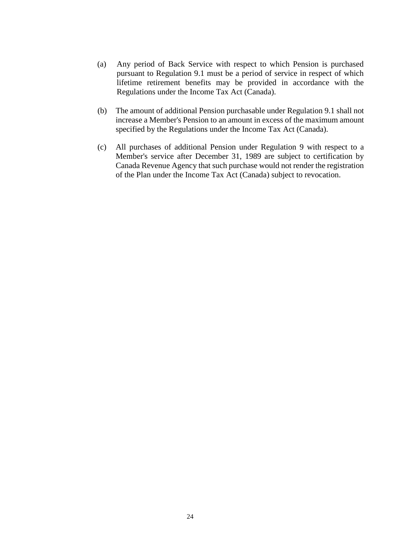- (a) Any period of Back Service with respect to which Pension is purchased pursuant to Regulation 9.1 must be a period of service in respect of which lifetime retirement benefits may be provided in accordance with the Regulations under the Income Tax Act (Canada).
- (b) The amount of additional Pension purchasable under Regulation 9.1 shall not increase a Member's Pension to an amount in excess of the maximum amount specified by the Regulations under the Income Tax Act (Canada).
- (c) All purchases of additional Pension under Regulation 9 with respect to a Member's service after December 31, 1989 are subject to certification by Canada Revenue Agency that such purchase would not render the registration of the Plan under the Income Tax Act (Canada) subject to revocation.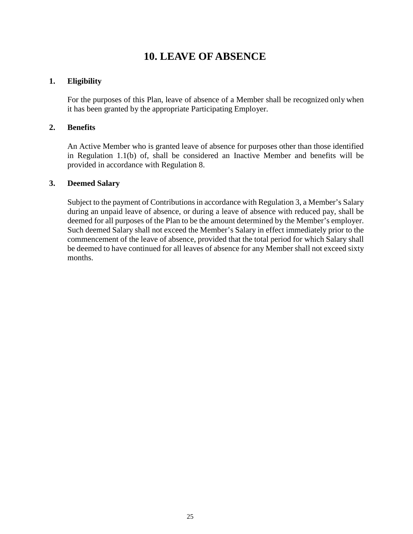# **10. LEAVE OF ABSENCE**

#### <span id="page-24-0"></span>**1. Eligibility**

For the purposes of this Plan, leave of absence of a Member shall be recognized only when it has been granted by the appropriate Participating Employer.

#### **2. Benefits**

An Active Member who is granted leave of absence for purposes other than those identified in Regulation 1.1(b) of, shall be considered an Inactive Member and benefits will be provided in accordance with Regulation 8.

#### **3. Deemed Salary**

Subject to the payment of Contributions in accordance with Regulation 3, a Member's Salary during an unpaid leave of absence, or during a leave of absence with reduced pay, shall be deemed for all purposes of the Plan to be the amount determined by the Member's employer. Such deemed Salary shall not exceed the Member's Salary in effect immediately prior to the commencement of the leave of absence, provided that the total period for which Salary shall be deemed to have continued for all leaves of absence for any Member shall not exceed sixty months.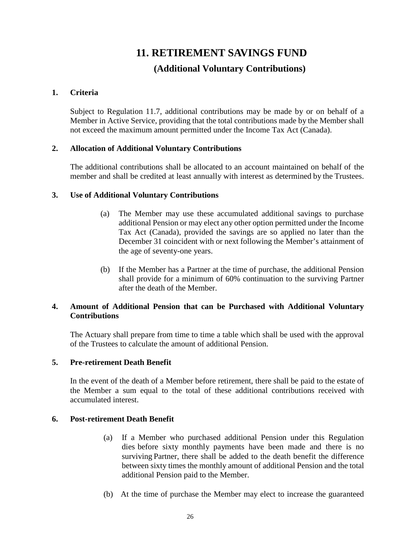# **11. RETIREMENT SAVINGS FUND (Additional Voluntary Contributions)**

#### <span id="page-25-0"></span>**1. Criteria**

Subject to Regulation 11.7, additional contributions may be made by or on behalf of a Member in Active Service, providing that the total contributions made by the Member shall not exceed the maximum amount permitted under the Income Tax Act (Canada).

#### **2. Allocation of Additional Voluntary Contributions**

The additional contributions shall be allocated to an account maintained on behalf of the member and shall be credited at least annually with interest as determined by the Trustees.

#### **3. Use of Additional Voluntary Contributions**

- (a) The Member may use these accumulated additional savings to purchase additional Pension or may elect any other option permitted under the Income Tax Act (Canada), provided the savings are so applied no later than the December 31 coincident with or next following the Member's attainment of the age of seventy-one years.
- (b) If the Member has a Partner at the time of purchase, the additional Pension shall provide for a minimum of 60% continuation to the surviving Partner after the death of the Member.

#### **4. Amount of Additional Pension that can be Purchased with Additional Voluntary Contributions**

The Actuary shall prepare from time to time a table which shall be used with the approval of the Trustees to calculate the amount of additional Pension.

#### **5. Pre-retirement Death Benefit**

In the event of the death of a Member before retirement, there shall be paid to the estate of the Member a sum equal to the total of these additional contributions received with accumulated interest.

#### **6. Post-retirement Death Benefit**

- (a) If a Member who purchased additional Pension under this Regulation dies before sixty monthly payments have been made and there is no surviving Partner, there shall be added to the death benefit the difference between sixty times the monthly amount of additional Pension and the total additional Pension paid to the Member.
- (b) At the time of purchase the Member may elect to increase the guaranteed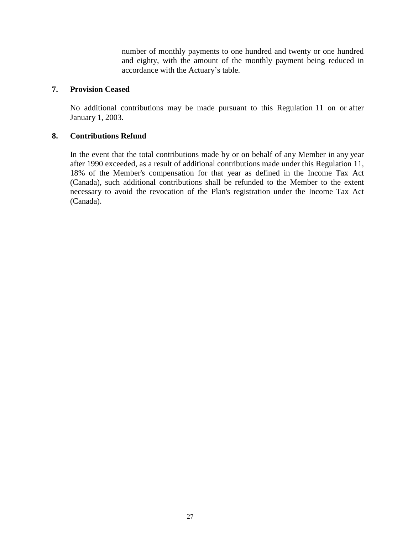number of monthly payments to one hundred and twenty or one hundred and eighty, with the amount of the monthly payment being reduced in accordance with the Actuary's table.

#### **7. Provision Ceased**

No additional contributions may be made pursuant to this Regulation 11 on or after January 1, 2003.

#### **8. Contributions Refund**

In the event that the total contributions made by or on behalf of any Member in any year after 1990 exceeded, as a result of additional contributions made under this Regulation 11, 18% of the Member's compensation for that year as defined in the Income Tax Act (Canada), such additional contributions shall be refunded to the Member to the extent necessary to avoid the revocation of the Plan's registration under the Income Tax Act (Canada).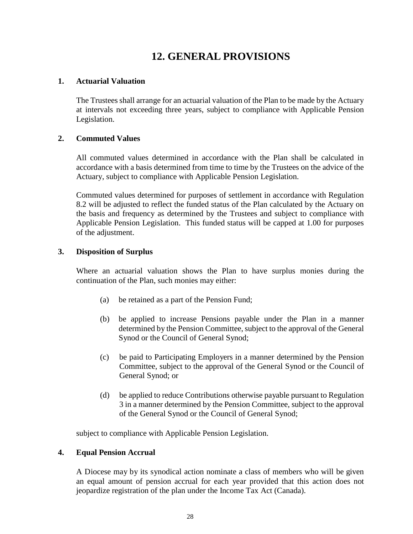# **12. GENERAL PROVISIONS**

#### <span id="page-27-0"></span>**1. Actuarial Valuation**

The Trustees shall arrange for an actuarial valuation of the Plan to be made by the Actuary at intervals not exceeding three years, subject to compliance with Applicable Pension Legislation.

#### **2. Commuted Values**

All commuted values determined in accordance with the Plan shall be calculated in accordance with a basis determined from time to time by the Trustees on the advice of the Actuary, subject to compliance with Applicable Pension Legislation.

Commuted values determined for purposes of settlement in accordance with Regulation 8.2 will be adjusted to reflect the funded status of the Plan calculated by the Actuary on the basis and frequency as determined by the Trustees and subject to compliance with Applicable Pension Legislation. This funded status will be capped at 1.00 for purposes of the adjustment.

#### **3. Disposition of Surplus**

Where an actuarial valuation shows the Plan to have surplus monies during the continuation of the Plan, such monies may either:

- (a) be retained as a part of the Pension Fund;
- (b) be applied to increase Pensions payable under the Plan in a manner determined by the Pension Committee, subject to the approval of the General Synod or the Council of General Synod;
- (c) be paid to Participating Employers in a manner determined by the Pension Committee, subject to the approval of the General Synod or the Council of General Synod; or
- (d) be applied to reduce Contributions otherwise payable pursuant to Regulation 3 in a manner determined by the Pension Committee, subject to the approval of the General Synod or the Council of General Synod;

subject to compliance with Applicable Pension Legislation.

#### **4. Equal Pension Accrual**

A Diocese may by its synodical action nominate a class of members who will be given an equal amount of pension accrual for each year provided that this action does not jeopardize registration of the plan under the Income Tax Act (Canada).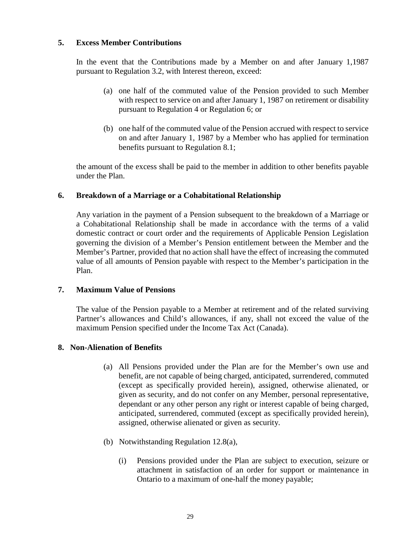#### **5. Excess Member Contributions**

In the event that the Contributions made by a Member on and after January 1,1987 pursuant to Regulation 3.2, with Interest thereon, exceed:

- (a) one half of the commuted value of the Pension provided to such Member with respect to service on and after January 1, 1987 on retirement or disability pursuant to Regulation 4 or Regulation 6; or
- (b) one half of the commuted value of the Pension accrued with respect to service on and after January 1, 1987 by a Member who has applied for termination benefits pursuant to Regulation 8.1;

the amount of the excess shall be paid to the member in addition to other benefits payable under the Plan.

#### **6. Breakdown of a Marriage or a Cohabitational Relationship**

Any variation in the payment of a Pension subsequent to the breakdown of a Marriage or a Cohabitational Relationship shall be made in accordance with the terms of a valid domestic contract or court order and the requirements of Applicable Pension Legislation governing the division of a Member's Pension entitlement between the Member and the Member's Partner, provided that no action shall have the effect of increasing the commuted value of all amounts of Pension payable with respect to the Member's participation in the Plan.

#### **7. Maximum Value of Pensions**

The value of the Pension payable to a Member at retirement and of the related surviving Partner's allowances and Child's allowances, if any, shall not exceed the value of the maximum Pension specified under the Income Tax Act (Canada).

#### **8. Non-Alienation of Benefits**

- (a) All Pensions provided under the Plan are for the Member's own use and benefit, are not capable of being charged, anticipated, surrendered, commuted (except as specifically provided herein), assigned, otherwise alienated, or given as security, and do not confer on any Member, personal representative, dependant or any other person any right or interest capable of being charged, anticipated, surrendered, commuted (except as specifically provided herein), assigned, otherwise alienated or given as security.
- (b) Notwithstanding Regulation 12.8(a),
	- (i) Pensions provided under the Plan are subject to execution, seizure or attachment in satisfaction of an order for support or maintenance in Ontario to a maximum of one-half the money payable;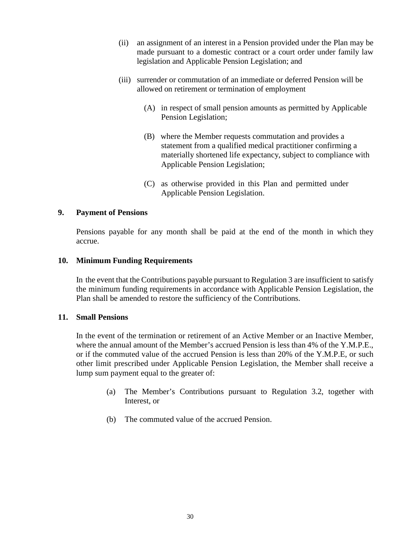- (ii) an assignment of an interest in a Pension provided under the Plan may be made pursuant to a domestic contract or a court order under family law legislation and Applicable Pension Legislation; and
- (iii) surrender or commutation of an immediate or deferred Pension will be allowed on retirement or termination of employment
	- (A) in respect of small pension amounts as permitted by Applicable Pension Legislation;
	- (B) where the Member requests commutation and provides a statement from a qualified medical practitioner confirming a materially shortened life expectancy, subject to compliance with Applicable Pension Legislation;
	- (C) as otherwise provided in this Plan and permitted under Applicable Pension Legislation.

#### **9. Payment of Pensions**

Pensions payable for any month shall be paid at the end of the month in which they accrue.

#### **10. Minimum Funding Requirements**

In the event that the Contributions payable pursuant to Regulation 3 are insufficient to satisfy the minimum funding requirements in accordance with Applicable Pension Legislation, the Plan shall be amended to restore the sufficiency of the Contributions.

#### **11. Small Pensions**

In the event of the termination or retirement of an Active Member or an Inactive Member, where the annual amount of the Member's accrued Pension is less than 4% of the Y.M.P.E., or if the commuted value of the accrued Pension is less than 20% of the Y.M.P.E, or such other limit prescribed under Applicable Pension Legislation, the Member shall receive a lump sum payment equal to the greater of:

- (a) The Member's Contributions pursuant to Regulation 3.2, together with Interest, or
- (b) The commuted value of the accrued Pension.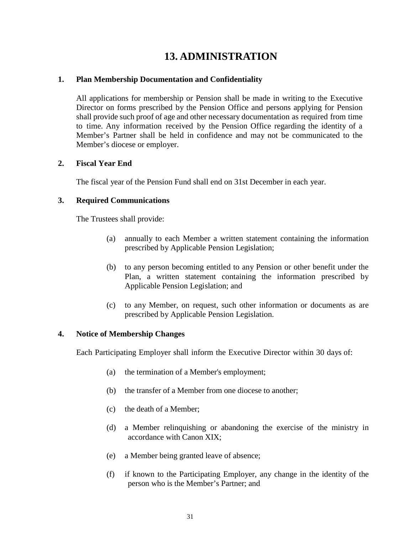# **13. ADMINISTRATION**

#### <span id="page-30-0"></span>**1. Plan Membership Documentation and Confidentiality**

All applications for membership or Pension shall be made in writing to the Executive Director on forms prescribed by the Pension Office and persons applying for Pension shall provide such proof of age and other necessary documentation as required from time to time. Any information received by the Pension Office regarding the identity of a Member's Partner shall be held in confidence and may not be communicated to the Member's diocese or employer.

#### **2. Fiscal Year End**

The fiscal year of the Pension Fund shall end on 31st December in each year.

#### **3. Required Communications**

The Trustees shall provide:

- (a) annually to each Member a written statement containing the information prescribed by Applicable Pension Legislation;
- (b) to any person becoming entitled to any Pension or other benefit under the Plan, a written statement containing the information prescribed by Applicable Pension Legislation; and
- (c) to any Member, on request, such other information or documents as are prescribed by Applicable Pension Legislation.

#### **4. Notice of Membership Changes**

Each Participating Employer shall inform the Executive Director within 30 days of:

- (a) the termination of a Member's employment;
- (b) the transfer of a Member from one diocese to another;
- (c) the death of a Member;
- (d) a Member relinquishing or abandoning the exercise of the ministry in accordance with Canon XIX;
- (e) a Member being granted leave of absence;
- (f) if known to the Participating Employer, any change in the identity of the person who is the Member's Partner; and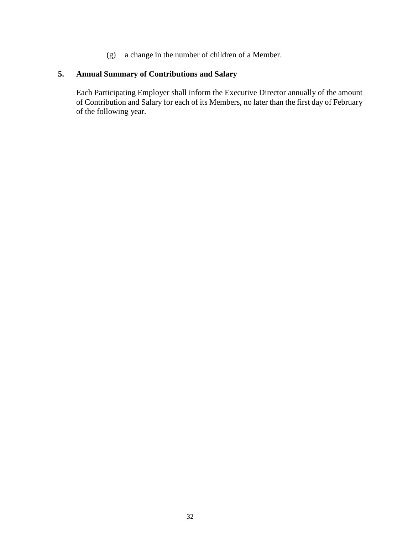(g) a change in the number of children of a Member.

### **5. Annual Summary of Contributions and Salary**

Each Participating Employer shall inform the Executive Director annually of the amount of Contribution and Salary for each of its Members, no later than the first day of February of the following year.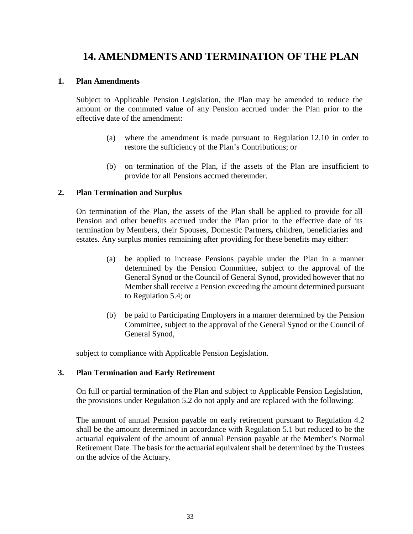# <span id="page-32-0"></span>**14. AMENDMENTS AND TERMINATION OF THE PLAN**

#### **1. Plan Amendments**

Subject to Applicable Pension Legislation, the Plan may be amended to reduce the amount or the commuted value of any Pension accrued under the Plan prior to the effective date of the amendment:

- (a) where the amendment is made pursuant to Regulation 12.10 in order to restore the sufficiency of the Plan's Contributions; or
- (b) on termination of the Plan, if the assets of the Plan are insufficient to provide for all Pensions accrued thereunder.

#### **2. Plan Termination and Surplus**

On termination of the Plan, the assets of the Plan shall be applied to provide for all Pension and other benefits accrued under the Plan prior to the effective date of its termination by Members, their Spouses, Domestic Partners**, c**hildren, beneficiaries and estates. Any surplus monies remaining after providing for these benefits may either:

- (a) be applied to increase Pensions payable under the Plan in a manner determined by the Pension Committee, subject to the approval of the General Synod or the Council of General Synod, provided however that no Member shall receive a Pension exceeding the amount determined pursuant to Regulation 5.4; or
- (b) be paid to Participating Employers in a manner determined by the Pension Committee, subject to the approval of the General Synod or the Council of General Synod,

subject to compliance with Applicable Pension Legislation.

#### **3. Plan Termination and Early Retirement**

On full or partial termination of the Plan and subject to Applicable Pension Legislation, the provisions under Regulation 5.2 do not apply and are replaced with the following:

The amount of annual Pension payable on early retirement pursuant to Regulation 4.2 shall be the amount determined in accordance with Regulation 5.1 but reduced to be the actuarial equivalent of the amount of annual Pension payable at the Member's Normal Retirement Date. The basis for the actuarial equivalent shall be determined by the Trustees on the advice of the Actuary.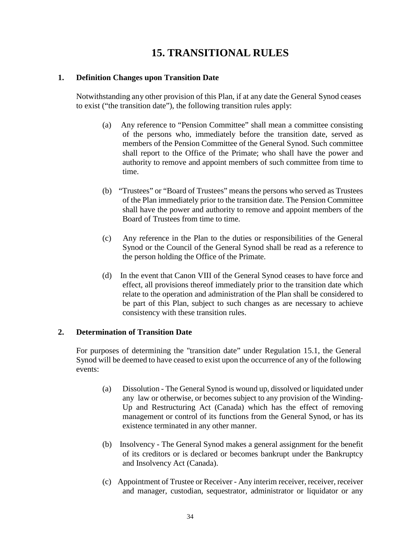# **15. TRANSITIONAL RULES**

#### <span id="page-33-0"></span>**1. Definition Changes upon Transition Date**

Notwithstanding any other provision of this Plan, if at any date the General Synod ceases to exist ("the transition date"), the following transition rules apply:

- (a) Any reference to "Pension Committee" shall mean a committee consisting of the persons who, immediately before the transition date, served as members of the Pension Committee of the General Synod. Such committee shall report to the Office of the Primate; who shall have the power and authority to remove and appoint members of such committee from time to time.
- (b) "Trustees" or "Board of Trustees" means the persons who served as Trustees of the Plan immediately prior to the transition date. The Pension Committee shall have the power and authority to remove and appoint members of the Board of Trustees from time to time.
- (c) Any reference in the Plan to the duties or responsibilities of the General Synod or the Council of the General Synod shall be read as a reference to the person holding the Office of the Primate.
- (d) In the event that Canon VIII of the General Synod ceases to have force and effect, all provisions thereof immediately prior to the transition date which relate to the operation and administration of the Plan shall be considered to be part of this Plan, subject to such changes as are necessary to achieve consistency with these transition rules.

#### **2. Determination of Transition Date**

For purposes of determining the "transition date" under Regulation 15.1, the General Synod will be deemed to have ceased to exist upon the occurrence of any of the following events:

- (a) Dissolution The General Synod is wound up, dissolved or liquidated under any law or otherwise, or becomes subject to any provision of the Winding-Up and Restructuring Act (Canada) which has the effect of removing management or control of its functions from the General Synod, or has its existence terminated in any other manner.
- (b) Insolvency The General Synod makes a general assignment for the benefit of its creditors or is declared or becomes bankrupt under the Bankruptcy and Insolvency Act (Canada).
- (c) Appointment of Trustee or Receiver Any interim receiver, receiver, receiver and manager, custodian, sequestrator, administrator or liquidator or any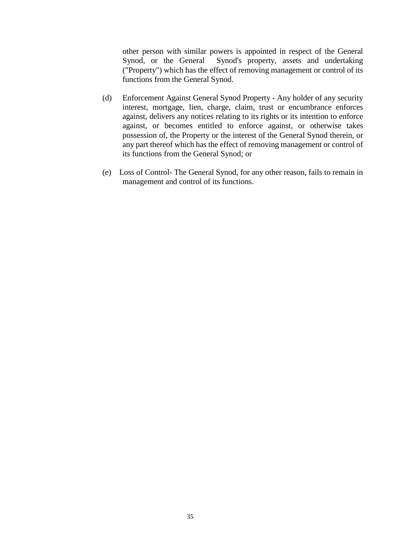other person with similar powers is appointed in respect of the General Synod, or the General Synod's property, assets and undertaking ("Property") which has the effect of removing management or control of its functions from the General Synod.

- (d) Enforcement Against General Synod Property Any holder of any security interest, mortgage, lien, charge, claim, trust or encumbrance enforces against, delivers any notices relating to its rights or its intention to enforce against, or becomes entitled to enforce against, or otherwise takes possession of, the Property or the interest of the General Synod therein, or any part thereof which has the effect of removing management or control of its functions from the General Synod; or
- (e) Loss of Control- The General Synod, for any other reason, fails to remain in management and control of its functions.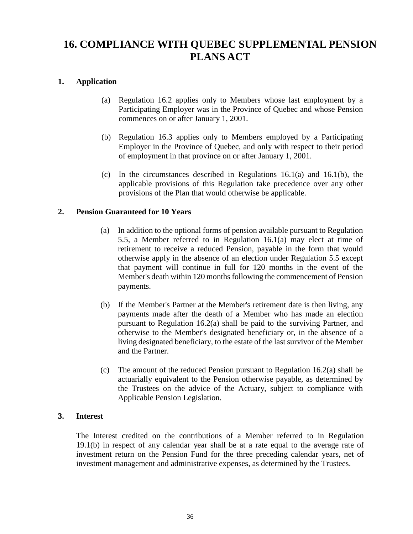# <span id="page-35-0"></span>**16. COMPLIANCE WITH QUEBEC SUPPLEMENTAL PENSION PLANS ACT**

#### **1. Application**

- (a) Regulation 16.2 applies only to Members whose last employment by a Participating Employer was in the Province of Quebec and whose Pension commences on or after January 1, 2001.
- (b) Regulation 16.3 applies only to Members employed by a Participating Employer in the Province of Quebec, and only with respect to their period of employment in that province on or after January 1, 2001.
- (c) In the circumstances described in Regulations 16.1(a) and 16.1(b), the applicable provisions of this Regulation take precedence over any other provisions of the Plan that would otherwise be applicable.

#### **2. Pension Guaranteed for 10 Years**

- (a) In addition to the optional forms of pension available pursuant to Regulation 5.5, a Member referred to in Regulation 16.1(a) may elect at time of retirement to receive a reduced Pension, payable in the form that would otherwise apply in the absence of an election under Regulation 5.5 except that payment will continue in full for 120 months in the event of the Member's death within 120 months following the commencement of Pension payments.
- (b) If the Member's Partner at the Member's retirement date is then living, any payments made after the death of a Member who has made an election pursuant to Regulation 16.2(a) shall be paid to the surviving Partner, and otherwise to the Member's designated beneficiary or, in the absence of a living designated beneficiary, to the estate of the last survivor of the Member and the Partner.
- (c) The amount of the reduced Pension pursuant to Regulation 16.2(a) shall be actuarially equivalent to the Pension otherwise payable, as determined by the Trustees on the advice of the Actuary, subject to compliance with Applicable Pension Legislation.

#### **3. Interest**

The Interest credited on the contributions of a Member referred to in Regulation 19.1(b) in respect of any calendar year shall be at a rate equal to the average rate of investment return on the Pension Fund for the three preceding calendar years, net of investment management and administrative expenses, as determined by the Trustees.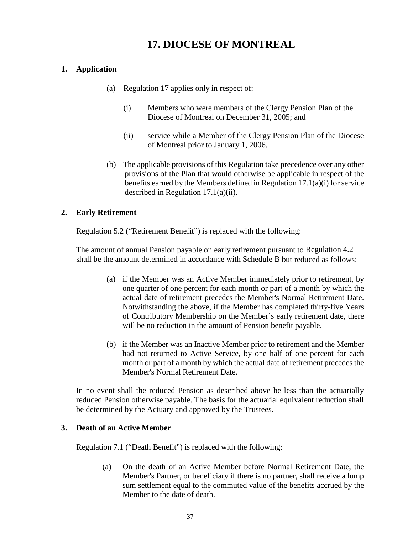# **17. DIOCESE OF MONTREAL**

### <span id="page-36-0"></span>**1. Application**

- (a) Regulation 17 applies only in respect of:
	- (i) Members who were members of the Clergy Pension Plan of the Diocese of Montreal on December 31, 2005; and
	- (ii) service while a Member of the Clergy Pension Plan of the Diocese of Montreal prior to January 1, 2006.
- (b) The applicable provisions of this Regulation take precedence over any other provisions of the Plan that would otherwise be applicable in respect of the benefits earned by the Members defined in Regulation 17.1(a)(i) for service described in Regulation 17.1(a)(ii).

### **2. Early Retirement**

Regulation 5.2 ("Retirement Benefit") is replaced with the following:

The amount of annual Pension payable on early retirement pursuant to Regulation 4.2 shall be the amount determined in accordance with Schedule B but reduced as follows:

- (a) if the Member was an Active Member immediately prior to retirement, by one quarter of one percent for each month or part of a month by which the actual date of retirement precedes the Member's Normal Retirement Date. Notwithstanding the above, if the Member has completed thirty-five Years of Contributory Membership on the Member's early retirement date, there will be no reduction in the amount of Pension benefit payable.
- (b) if the Member was an Inactive Member prior to retirement and the Member had not returned to Active Service, by one half of one percent for each month or part of a month by which the actual date of retirement precedes the Member's Normal Retirement Date.

In no event shall the reduced Pension as described above be less than the actuarially reduced Pension otherwise payable. The basis for the actuarial equivalent reduction shall be determined by the Actuary and approved by the Trustees.

### **3. Death of an Active Member**

Regulation 7.1 ("Death Benefit") is replaced with the following:

(a) On the death of an Active Member before Normal Retirement Date, the Member's Partner, or beneficiary if there is no partner, shall receive a lump sum settlement equal to the commuted value of the benefits accrued by the Member to the date of death.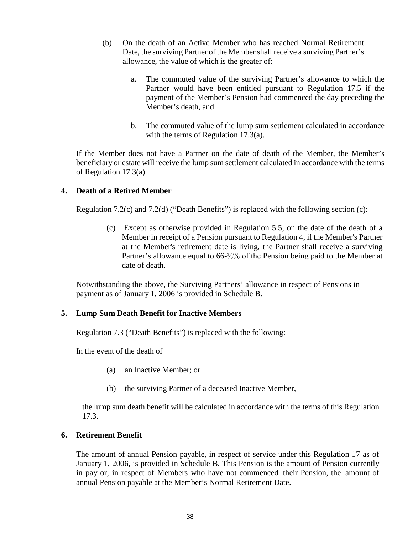- (b) On the death of an Active Member who has reached Normal Retirement Date, the surviving Partner of the Member shall receive a surviving Partner's allowance, the value of which is the greater of:
	- a. The commuted value of the surviving Partner's allowance to which the Partner would have been entitled pursuant to Regulation 17.5 if the payment of the Member's Pension had commenced the day preceding the Member's death, and
	- b. The commuted value of the lump sum settlement calculated in accordance with the terms of Regulation 17.3(a).

If the Member does not have a Partner on the date of death of the Member, the Member's beneficiary or estate will receive the lump sum settlement calculated in accordance with the terms of Regulation 17.3(a).

#### **4. Death of a Retired Member**

Regulation 7.2(c) and 7.2(d) ("Death Benefits") is replaced with the following section (c):

(c) Except as otherwise provided in Regulation 5.5, on the date of the death of a Member in receipt of a Pension pursuant to Regulation 4, if the Member's Partner at the Member's retirement date is living, the Partner shall receive a surviving Partner's allowance equal to 66-⅔% of the Pension being paid to the Member at date of death.

Notwithstanding the above, the Surviving Partners' allowance in respect of Pensions in payment as of January 1, 2006 is provided in Schedule B.

#### **5. Lump Sum Death Benefit for Inactive Members**

Regulation 7.3 ("Death Benefits") is replaced with the following:

In the event of the death of

- (a) an Inactive Member; or
- (b) the surviving Partner of a deceased Inactive Member,

the lump sum death benefit will be calculated in accordance with the terms of this Regulation 17.3.

#### **6. Retirement Benefit**

The amount of annual Pension payable, in respect of service under this Regulation 17 as of January 1, 2006, is provided in Schedule B. This Pension is the amount of Pension currently in pay or, in respect of Members who have not commenced their Pension, the amount of annual Pension payable at the Member's Normal Retirement Date.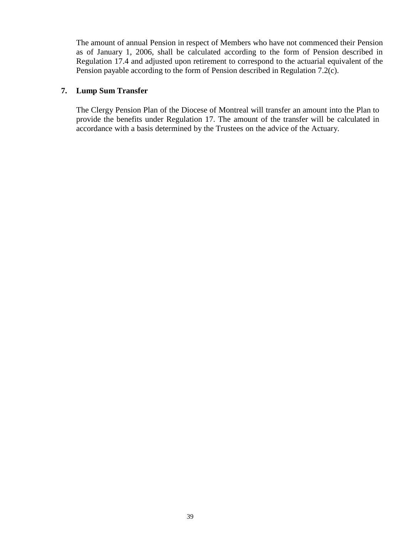The amount of annual Pension in respect of Members who have not commenced their Pension as of January 1, 2006, shall be calculated according to the form of Pension described in Regulation 17.4 and adjusted upon retirement to correspond to the actuarial equivalent of the Pension payable according to the form of Pension described in Regulation 7.2(c).

#### **7. Lump Sum Transfer**

The Clergy Pension Plan of the Diocese of Montreal will transfer an amount into the Plan to provide the benefits under Regulation 17. The amount of the transfer will be calculated in accordance with a basis determined by the Trustees on the advice of the Actuary.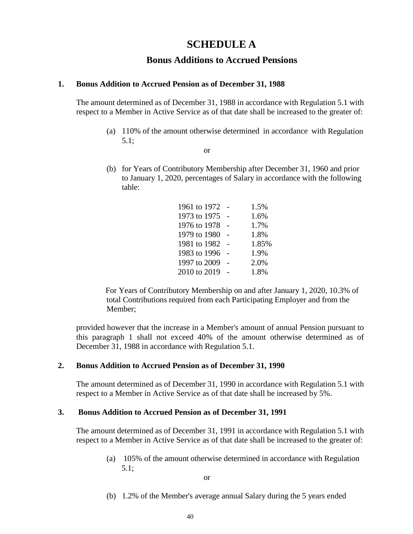### **SCHEDULE A**

### **Bonus Additions to Accrued Pensions**

#### <span id="page-39-0"></span>**1. Bonus Addition to Accrued Pension as of December 31, 1988**

The amount determined as of December 31, 1988 in accordance with Regulation 5.1 with respect to a Member in Active Service as of that date shall be increased to the greater of:

- (a) 110% of the amount otherwise determined in accordance with Regulation 5.1;
	- or
- (b) for Years of Contributory Membership after December 31, 1960 and prior to January 1, 2020, percentages of Salary in accordance with the following table:

| 1961 to 1972 | 1.5%  |
|--------------|-------|
| 1973 to 1975 | 1.6%  |
| 1976 to 1978 | 1.7%  |
| 1979 to 1980 | 1.8%  |
| 1981 to 1982 | 1.85% |
| 1983 to 1996 | 1.9%  |
| 1997 to 2009 | 2.0%  |
| 2010 to 2019 | 1.8%  |

For Years of Contributory Membership on and after January 1, 2020, 10.3% of total Contributions required from each Participating Employer and from the Member;

provided however that the increase in a Member's amount of annual Pension pursuant to this paragraph 1 shall not exceed 40% of the amount otherwise determined as of December 31, 1988 in accordance with Regulation 5.1.

#### **2. Bonus Addition to Accrued Pension as of December 31, 1990**

The amount determined as of December 31, 1990 in accordance with Regulation 5.1 with respect to a Member in Active Service as of that date shall be increased by 5%.

#### **3. Bonus Addition to Accrued Pension as of December 31, 1991**

The amount determined as of December 31, 1991 in accordance with Regulation 5.1 with respect to a Member in Active Service as of that date shall be increased to the greater of:

> (a) 105% of the amount otherwise determined in accordance with Regulation 5.1;

> > or

(b) 1.2% of the Member's average annual Salary during the 5 years ended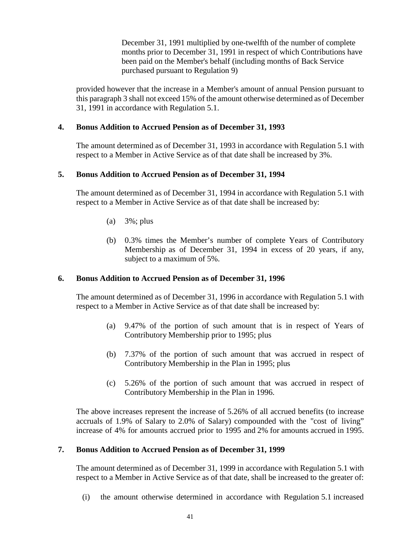December 31, 1991 multiplied by one-twelfth of the number of complete months prior to December 31, 1991 in respect of which Contributions have been paid on the Member's behalf (including months of Back Service purchased pursuant to Regulation 9)

provided however that the increase in a Member's amount of annual Pension pursuant to this paragraph 3 shall not exceed 15% of the amount otherwise determined as of December 31, 1991 in accordance with Regulation 5.1.

#### **4. Bonus Addition to Accrued Pension as of December 31, 1993**

The amount determined as of December 31, 1993 in accordance with Regulation 5.1 with respect to a Member in Active Service as of that date shall be increased by 3%.

#### **5. Bonus Addition to Accrued Pension as of December 31, 1994**

The amount determined as of December 31, 1994 in accordance with Regulation 5.1 with respect to a Member in Active Service as of that date shall be increased by:

- (a) 3%; plus
- (b) 0.3% times the Member's number of complete Years of Contributory Membership as of December 31, 1994 in excess of 20 years, if any, subject to a maximum of 5%.

#### **6. Bonus Addition to Accrued Pension as of December 31, 1996**

The amount determined as of December 31, 1996 in accordance with Regulation 5.1 with respect to a Member in Active Service as of that date shall be increased by:

- (a) 9.47% of the portion of such amount that is in respect of Years of Contributory Membership prior to 1995; plus
- (b) 7.37% of the portion of such amount that was accrued in respect of Contributory Membership in the Plan in 1995; plus
- (c) 5.26% of the portion of such amount that was accrued in respect of Contributory Membership in the Plan in 1996.

The above increases represent the increase of 5.26% of all accrued benefits (to increase accruals of 1.9% of Salary to 2.0% of Salary) compounded with the "cost of living" increase of 4% for amounts accrued prior to 1995 and 2% for amounts accrued in 1995.

#### **7. Bonus Addition to Accrued Pension as of December 31, 1999**

The amount determined as of December 31, 1999 in accordance with Regulation 5.1 with respect to a Member in Active Service as of that date, shall be increased to the greater of:

(i) the amount otherwise determined in accordance with Regulation 5.1 increased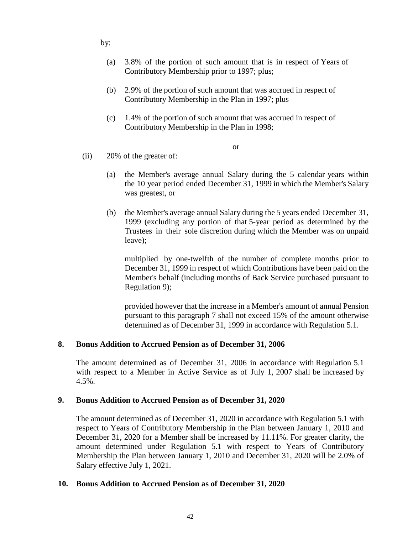by:

- (a) 3.8% of the portion of such amount that is in respect of Years of Contributory Membership prior to 1997; plus;
- (b) 2.9% of the portion of such amount that was accrued in respect of Contributory Membership in the Plan in 1997; plus
- (c) 1.4% of the portion of such amount that was accrued in respect of Contributory Membership in the Plan in 1998;

or

- (ii) 20% of the greater of:
	- (a) the Member's average annual Salary during the 5 calendar years within the 10 year period ended December 31, 1999 in which the Member's Salary was greatest, or
	- (b) the Member's average annual Salary during the 5 years ended December 31, 1999 (excluding any portion of that 5-year period as determined by the Trustees in their sole discretion during which the Member was on unpaid leave);

multiplied by one-twelfth of the number of complete months prior to December 31, 1999 in respect of which Contributions have been paid on the Member's behalf (including months of Back Service purchased pursuant to Regulation 9);

provided however that the increase in a Member's amount of annual Pension pursuant to this paragraph 7 shall not exceed 15% of the amount otherwise determined as of December 31, 1999 in accordance with Regulation 5.1.

#### **8. Bonus Addition to Accrued Pension as of December 31, 2006**

The amount determined as of December 31, 2006 in accordance with Regulation 5.1 with respect to a Member in Active Service as of July 1, 2007 shall be increased by 4.5%.

#### **9. Bonus Addition to Accrued Pension as of December 31, 2020**

The amount determined as of December 31, 2020 in accordance with Regulation 5.1 with respect to Years of Contributory Membership in the Plan between January 1, 2010 and December 31, 2020 for a Member shall be increased by 11.11%. For greater clarity, the amount determined under Regulation 5.1 with respect to Years of Contributory Membership the Plan between January 1, 2010 and December 31, 2020 will be 2.0% of Salary effective July 1, 2021.

#### **10. Bonus Addition to Accrued Pension as of December 31, 2020**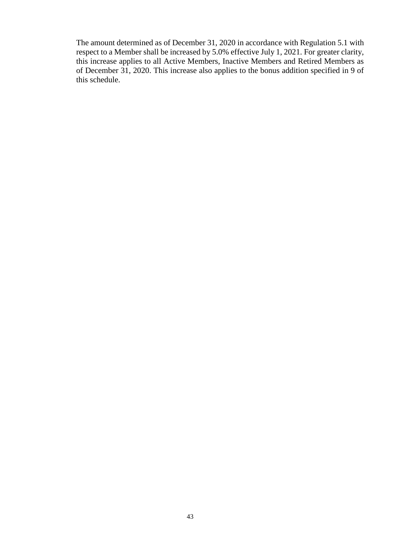The amount determined as of December 31, 2020 in accordance with Regulation 5.1 with respect to a Member shall be increased by 5.0% effective July 1, 2021. For greater clarity, this increase applies to all Active Members, Inactive Members and Retired Members as of December 31, 2020. This increase also applies to the bonus addition specified in 9 of this schedule.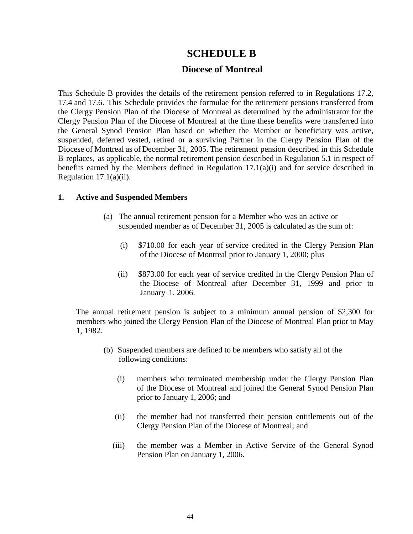### **SCHEDULE B**

### **Diocese of Montreal**

<span id="page-43-0"></span>This Schedule B provides the details of the retirement pension referred to in Regulations 17.2, 17.4 and 17.6. This Schedule provides the formulae for the retirement pensions transferred from the Clergy Pension Plan of the Diocese of Montreal as determined by the administrator for the Clergy Pension Plan of the Diocese of Montreal at the time these benefits were transferred into the General Synod Pension Plan based on whether the Member or beneficiary was active, suspended, deferred vested, retired or a surviving Partner in the Clergy Pension Plan of the Diocese of Montreal as of December 31, 2005. The retirement pension described in this Schedule B replaces, as applicable, the normal retirement pension described in Regulation 5.1 in respect of benefits earned by the Members defined in Regulation 17.1(a)(i) and for service described in Regulation  $17.1(a)(ii)$ .

#### **1. Active and Suspended Members**

- (a) The annual retirement pension for a Member who was an active or suspended member as of December 31, 2005 is calculated as the sum of:
	- (i) \$710.00 for each year of service credited in the Clergy Pension Plan of the Diocese of Montreal prior to January 1, 2000; plus
	- (ii) \$873.00 for each year of service credited in the Clergy Pension Plan of the Diocese of Montreal after December 31, 1999 and prior to January 1, 2006.

The annual retirement pension is subject to a minimum annual pension of \$2,300 for members who joined the Clergy Pension Plan of the Diocese of Montreal Plan prior to May 1, 1982.

- (b) Suspended members are defined to be members who satisfy all of the following conditions:
	- (i) members who terminated membership under the Clergy Pension Plan of the Diocese of Montreal and joined the General Synod Pension Plan prior to January 1, 2006; and
	- (ii) the member had not transferred their pension entitlements out of the Clergy Pension Plan of the Diocese of Montreal; and
	- (iii) the member was a Member in Active Service of the General Synod Pension Plan on January 1, 2006.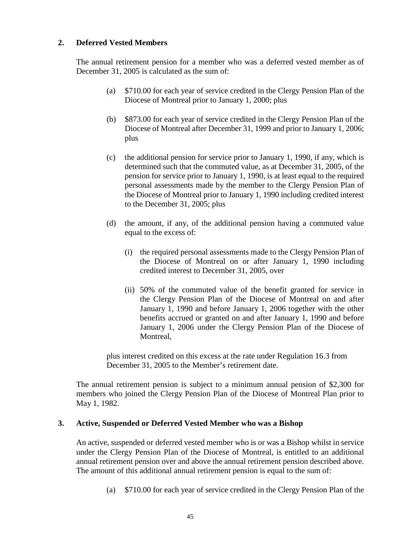### **2. Deferred Vested Members**

The annual retirement pension for a member who was a deferred vested member as of December 31, 2005 is calculated as the sum of:

- (a) \$710.00 for each year of service credited in the Clergy Pension Plan of the Diocese of Montreal prior to January 1, 2000; plus
- (b) \$873.00 for each year of service credited in the Clergy Pension Plan of the Diocese of Montreal after December 31, 1999 and prior to January 1, 2006; plus
- (c) the additional pension for service prior to January 1, 1990, if any, which is determined such that the commuted value, as at December 31, 2005, of the pension for service prior to January 1, 1990, is at least equal to the required personal assessments made by the member to the Clergy Pension Plan of the Diocese of Montreal prior to January 1, 1990 including credited interest to the December 31, 2005; plus
- (d) the amount, if any, of the additional pension having a commuted value equal to the excess of:
	- (i) the required personal assessments made to the Clergy Pension Plan of the Diocese of Montreal on or after January 1, 1990 including credited interest to December 31, 2005, over
	- (ii) 50% of the commuted value of the benefit granted for service in the Clergy Pension Plan of the Diocese of Montreal on and after January 1, 1990 and before January 1, 2006 together with the other benefits accrued or granted on and after January 1, 1990 and before January 1, 2006 under the Clergy Pension Plan of the Diocese of Montreal,

plus interest credited on this excess at the rate under Regulation 16.3 from December 31, 2005 to the Member's retirement date.

The annual retirement pension is subject to a minimum annual pension of \$2,300 for members who joined the Clergy Pension Plan of the Diocese of Montreal Plan prior to May 1, 1982.

#### **3. Active, Suspended or Deferred Vested Member who was a Bishop**

An active, suspended or deferred vested member who is or was a Bishop whilst in service under the Clergy Pension Plan of the Diocese of Montreal, is entitled to an additional annual retirement pension over and above the annual retirement pension described above. The amount of this additional annual retirement pension is equal to the sum of:

(a) \$710.00 for each year of service credited in the Clergy Pension Plan of the